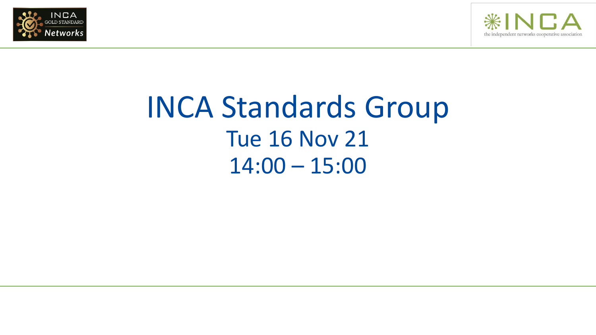



# INCA Standards Group Tue 16 Nov 21 14:00 – 15:00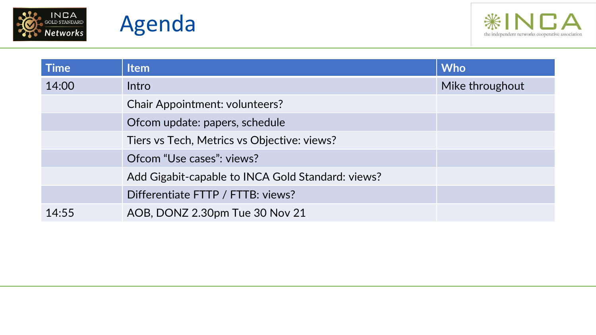





| <b>Time</b> | <b>Item</b>                                       | <b>Who</b>      |
|-------------|---------------------------------------------------|-----------------|
| 14:00       | Intro                                             | Mike throughout |
|             | <b>Chair Appointment: volunteers?</b>             |                 |
|             | Ofcom update: papers, schedule                    |                 |
|             | Tiers vs Tech, Metrics vs Objective: views?       |                 |
|             | Ofcom "Use cases": views?                         |                 |
|             | Add Gigabit-capable to INCA Gold Standard: views? |                 |
|             | Differentiate FTTP / FTTB: views?                 |                 |
| 14:55       | AOB, DONZ 2.30pm Tue 30 Nov 21                    |                 |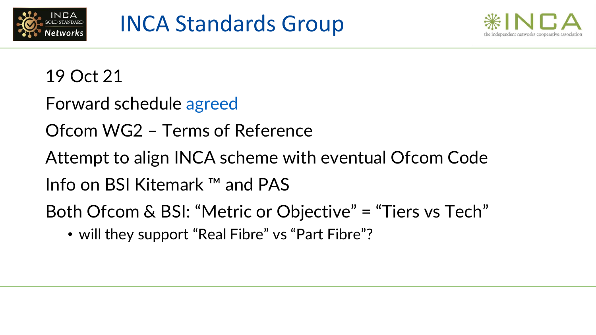



19 Oct 21

Forward schedule [agreed](https://www.inca.coop/inca-standards-group-0)

Ofcom WG2 – Terms of Reference

Attempt to align INCA scheme with eventual Ofcom Code

Info on BSI Kitemark ™ and PAS

Both Ofcom & BSI: "Metric or Objective" = "Tiers vs Tech"

• will they support "Real Fibre" vs "Part Fibre"?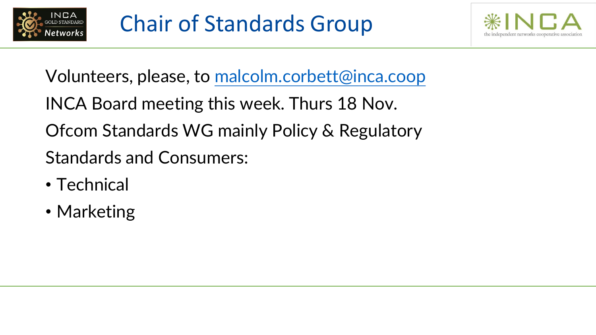



- Volunteers, please, to [malcolm.corbett@inca.coop](mailto:malcolm.corbett@inca.coop)
- INCA Board meeting this week. Thurs 18 Nov.
- Ofcom Standards WG mainly Policy & Regulatory
- Standards and Consumers:
- Technical
- Marketing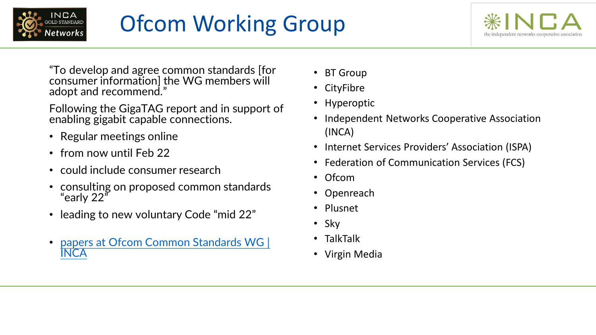

# Ofcom Working Group



"To develop and agree common standards [for consumer information] the WG members will adopt and recommend."

Following the GigaTAG report and in support of enabling gigabit capable connections.

- Regular meetings online
- from now until Feb 22
- could include consumer research
- consulting on proposed common standards "early 22"
- leading to new voluntary Code "mid 22"
- [papers at Ofcom Common Standards WG |](https://www.inca.coop/ofcom-common-standards-wg-0)  INCA
- BT Group
- CityFibre
- Hyperoptic
- Independent Networks Cooperative Association (INCA)
- Internet Services Providers' Association (ISPA)
- Federation of Communication Services (FCS)
- Ofcom
- Openreach
- Plusnet
- Sky
- TalkTalk
- Virgin Media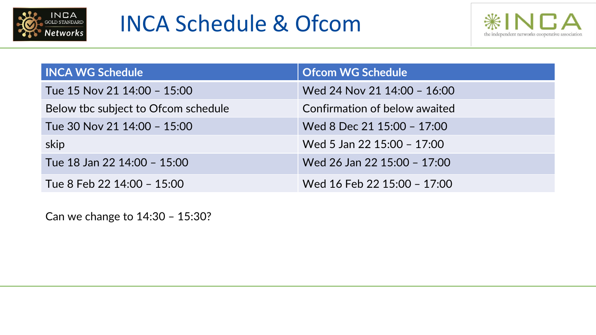



| <b>INCA WG Schedule</b>             | <b>Ofcom WG Schedule</b>      |  |
|-------------------------------------|-------------------------------|--|
| Tue 15 Nov 21 14:00 - 15:00         | Wed 24 Nov 21 14:00 - 16:00   |  |
| Below the subject to Ofcom schedule | Confirmation of below awaited |  |
| Tue 30 Nov 21 14:00 - 15:00         | Wed 8 Dec 21 15:00 - 17:00    |  |
| skip                                | Wed 5 Jan 22 15:00 - 17:00    |  |
| Tue 18 Jan 22 14:00 - 15:00         | Wed 26 Jan 22 15:00 - 17:00   |  |
| Tue 8 Feb 22 14:00 - 15:00          | Wed 16 Feb 22 15:00 - 17:00   |  |

Can we change to 14:30 – 15:30?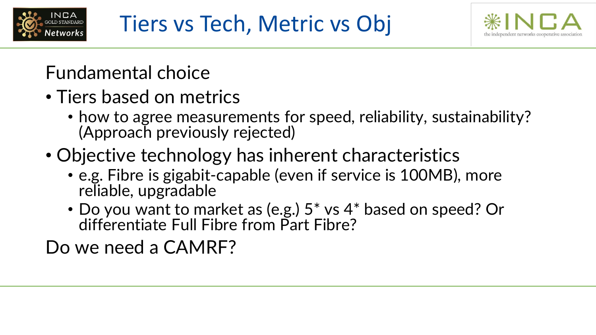



### Fundamental choice

- Tiers based on metrics
	- how to agree measurements for speed, reliability, sustainability? (Approach previously rejected)
- Objective technology has inherent characteristics
	- e.g. Fibre is gigabit-capable (even if service is 100MB), more reliable, upgradable
	- Do you want to market as (e.g.) 5\* vs 4\* based on speed? Or differentiate Full Fibre from Part Fibre?

Do we need a CAMRF?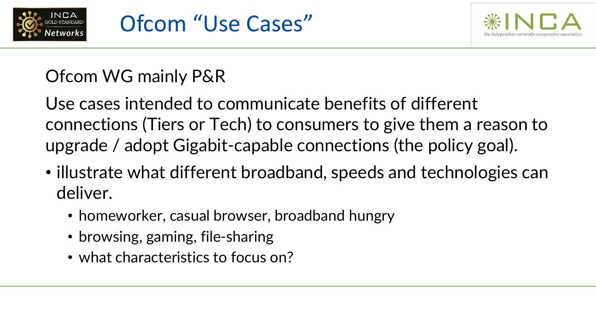



#### Ofcom WG mainly P&R

Use cases intended to communicate benefits of different connections (Tiers or Tech) to consumers to give them a reason to upgrade / adopt Gigabit-capable connections (the policy goal).

- illustrate what different broadband, speeds and technologies can deliver.
	- homeworker, casual browser, broadband hungry
	- browsing, gaming, file-sharing
	- what characteristics to focus on?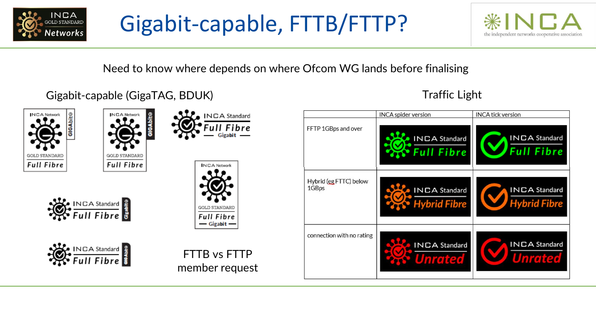

## Gigabit-capable, FTTB/FTTP?



Need to know where depends on where Ofcom WG lands before finalising

#### Gigabit-capable (GigaTAG, BDUK) Gigabit-capable (GigaTAG, BDUK)









Full Fibre



INCA Standard

#### INCA tick version INCA spider version FFTP 1GBps and over INCA Standard **INCA Standard** Fibre Hybrid (eg FTTC) below 1GBps **INCA Standard INCA Standard brid Fibre** connection with no rating INCA Standard **INCA Standard**